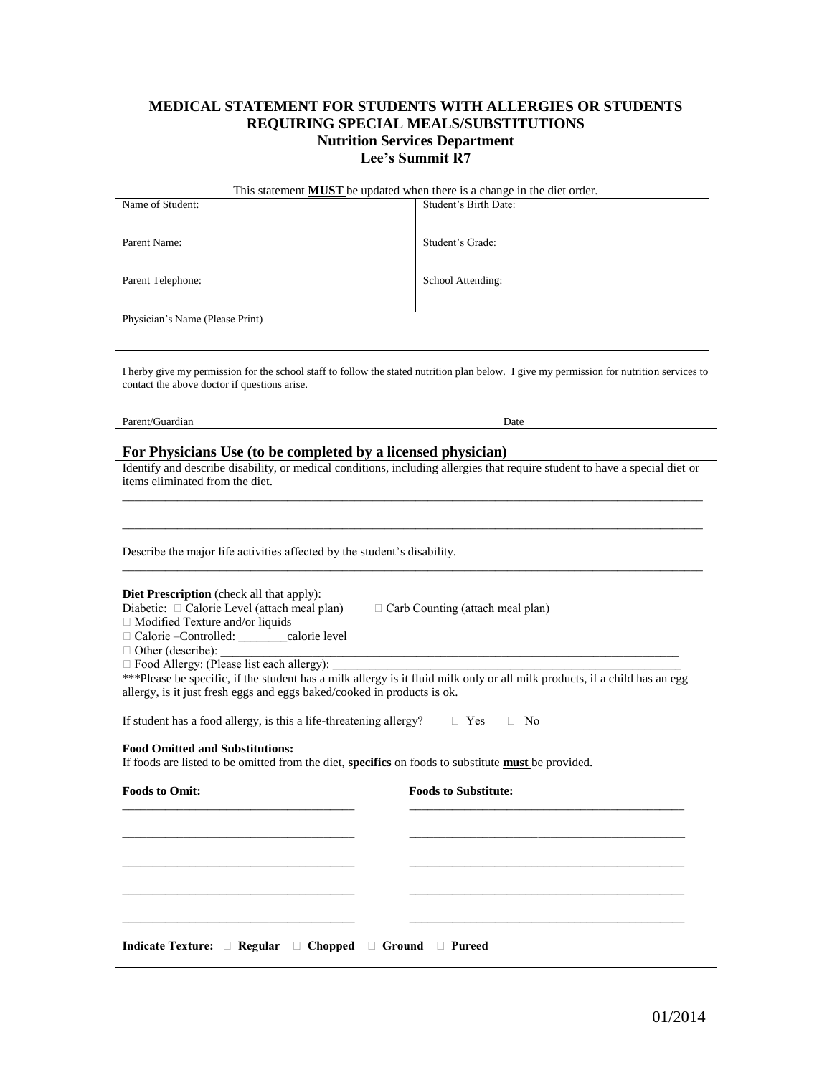## **MEDICAL STATEMENT FOR STUDENTS WITH ALLERGIES OR STUDENTS REQUIRING SPECIAL MEALS/SUBSTITUTIONS Nutrition Services Department Lee's Summit R7**

|                  | This statement <b>MUST</b> be updated when there is a change in the diet order. |
|------------------|---------------------------------------------------------------------------------|
| Name of Student: | Student's Rirth Date:                                                           |

| ivalue of Student.              | Student s Diftii Date. |  |  |  |
|---------------------------------|------------------------|--|--|--|
| Parent Name:                    | Student's Grade:       |  |  |  |
|                                 |                        |  |  |  |
| Parent Telephone:               | School Attending:      |  |  |  |
|                                 |                        |  |  |  |
| Physician's Name (Please Print) |                        |  |  |  |
|                                 |                        |  |  |  |

I herby give my permission for the school staff to follow the stated nutrition plan below. I give my permission for nutrition services to contact the above doctor if questions arise.

\_\_\_\_\_\_\_\_\_\_\_\_\_\_\_\_\_\_\_\_\_\_\_\_\_\_\_\_\_\_\_\_\_\_\_\_\_\_\_\_\_\_\_\_\_\_\_\_\_\_\_\_\_\_\_\_\_\_\_ \_\_\_\_\_\_\_\_\_\_\_\_\_\_\_\_\_\_\_\_\_\_\_\_\_\_\_\_\_\_\_\_\_\_\_ Parent/Guardian Date

## **For Physicians Use (to be completed by a licensed physician)**

| Identify and describe disability, or medical conditions, including allergies that require student to have a special diet or<br>items eliminated from the diet.                                                                                              |                             |  |  |  |  |
|-------------------------------------------------------------------------------------------------------------------------------------------------------------------------------------------------------------------------------------------------------------|-----------------------------|--|--|--|--|
|                                                                                                                                                                                                                                                             |                             |  |  |  |  |
| Describe the major life activities affected by the student's disability.                                                                                                                                                                                    |                             |  |  |  |  |
| <b>Diet Prescription</b> (check all that apply):<br>Diabetic: □ Calorie Level (attach meal plan)<br>$\Box$ Carb Counting (attach meal plan)<br>□ Modified Texture and/or liquids<br>□ Calorie - Controlled: _______calorie level                            |                             |  |  |  |  |
| □ Food Allergy: (Please list each allergy): ______<br>***Please be specific, if the student has a milk allergy is it fluid milk only or all milk products, if a child has an egg<br>allergy, is it just fresh eggs and eggs baked/cooked in products is ok. |                             |  |  |  |  |
| If student has a food allergy, is this a life-threatening allergy?                                                                                                                                                                                          | $\Box$ Yes<br>$\Box$ No     |  |  |  |  |
| <b>Food Omitted and Substitutions:</b><br>If foods are listed to be omitted from the diet, specifics on foods to substitute must be provided.                                                                                                               |                             |  |  |  |  |
| <b>Foods to Omit:</b>                                                                                                                                                                                                                                       | <b>Foods to Substitute:</b> |  |  |  |  |
|                                                                                                                                                                                                                                                             |                             |  |  |  |  |
|                                                                                                                                                                                                                                                             |                             |  |  |  |  |
|                                                                                                                                                                                                                                                             |                             |  |  |  |  |
|                                                                                                                                                                                                                                                             |                             |  |  |  |  |
| Indicate Texture: $\Box$ Regular $\Box$ Chopped $\Box$ Ground $\Box$ Pureed                                                                                                                                                                                 |                             |  |  |  |  |